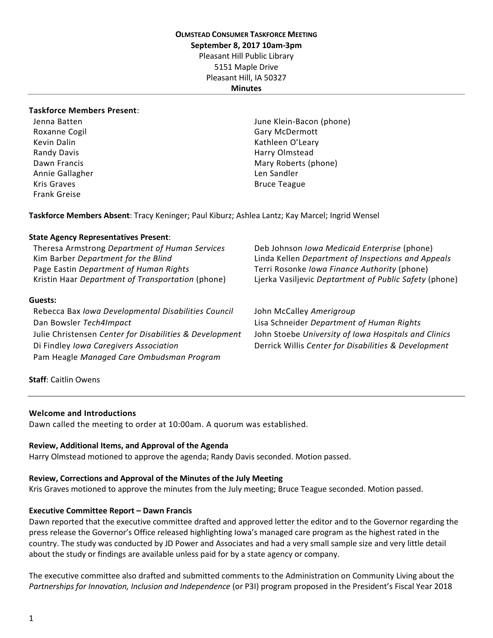# **OLMSTEAD CONSUMER TASKFORCE MEETING September 8, 2017 10am-3pm** Pleasant Hill Public Library 5151 Maple Drive Pleasant Hill, IA 50327 **Minutes**

### **Taskforce Members Present**:

Randy Davis **Harry Olmstead Harry Olmstead** Annie Gallagher Len Sandler Len Sandler Kris Graves **Bruce Teague** Frank Greise

Jenna Batten June Klein-Bacon (phone) Roxanne Cogil Gary McDermott Kevin Dalin **Kathleen O'Leary** Kathleen O'Leary Dawn Francis **Mary Roberts (phone)** Mary Roberts (phone)

**Taskforce Members Absent**: Tracy Keninger; Paul Kiburz; Ashlea Lantz; Kay Marcel; Ingrid Wensel

### **State Agency Representatives Present**:

Page Eastin *Department of Human Rights* Terri Rosonke *Iowa Finance Authority* (phone)

### **Guests:**

Rebecca Bax *Iowa Developmental Disabilities Council* John McCalley *Amerigroup* Dan Bowsler *Tech4Impact* Lisa Schneider *Department of Human Rights* Julie Christensen *Center for Disabilities & Development* John Stoebe *University of Iowa Hospitals and Clinics* Di Findley *Iowa Caregivers Association* Derrick Willis *Center for Disabilities & Development* Pam Heagle *Managed Care Ombudsman Program*

Theresa Armstrong *Department of Human Services* Deb Johnson *Iowa Medicaid Enterprise* (phone) Kim Barber *Department for the Blind* Linda Kellen *Department of Inspections and Appeals* Kristin Haar *Department of Transportation* (phone) Ljerka Vasiljevic *Deptartment of Public Safety* (phone)

### **Staff**: Caitlin Owens

### **Welcome and Introductions**

Dawn called the meeting to order at 10:00am. A quorum was established.

### **Review, Additional Items, and Approval of the Agenda**

Harry Olmstead motioned to approve the agenda; Randy Davis seconded. Motion passed.

### **Review, Corrections and Approval of the Minutes of the July Meeting**

Kris Graves motioned to approve the minutes from the July meeting; Bruce Teague seconded. Motion passed.

### **Executive Committee Report – Dawn Francis**

Dawn reported that the executive committee drafted and approved letter the editor and to the Governor regarding the press release the Governor's Office released highlighting Iowa's managed care program as the highest rated in the country. The study was conducted by JD Power and Associates and had a very small sample size and very little detail about the study or findings are available unless paid for by a state agency or company.

The executive committee also drafted and submitted comments to the Administration on Community Living about the *Partnerships for Innovation, Inclusion and Independence* (or P3I) program proposed in the President's Fiscal Year 2018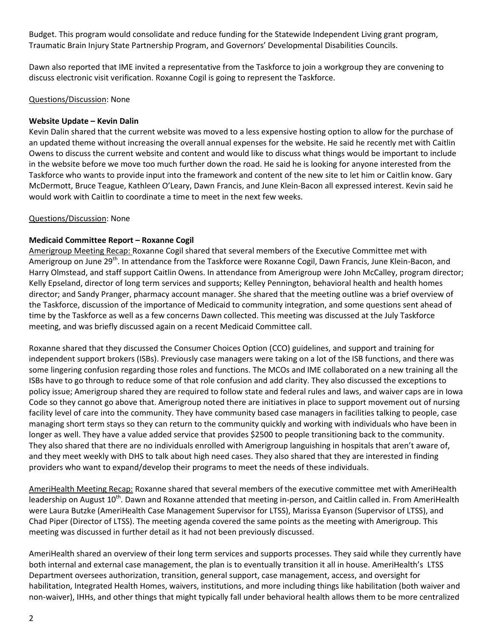Budget. This program would consolidate and reduce funding for the Statewide Independent Living grant program, Traumatic Brain Injury State Partnership Program, and Governors' Developmental Disabilities Councils.

Dawn also reported that IME invited a representative from the Taskforce to join a workgroup they are convening to discuss electronic visit verification. Roxanne Cogil is going to represent the Taskforce.

# Questions/Discussion: None

### **Website Update – Kevin Dalin**

Kevin Dalin shared that the current website was moved to a less expensive hosting option to allow for the purchase of an updated theme without increasing the overall annual expenses for the website. He said he recently met with Caitlin Owens to discuss the current website and content and would like to discuss what things would be important to include in the website before we move too much further down the road. He said he is looking for anyone interested from the Taskforce who wants to provide input into the framework and content of the new site to let him or Caitlin know. Gary McDermott, Bruce Teague, Kathleen O'Leary, Dawn Francis, and June Klein-Bacon all expressed interest. Kevin said he would work with Caitlin to coordinate a time to meet in the next few weeks.

### Questions/Discussion: None

# **Medicaid Committee Report – Roxanne Cogil**

Amerigroup Meeting Recap: Roxanne Cogil shared that several members of the Executive Committee met with Amerigroup on June 29<sup>th</sup>. In attendance from the Taskforce were Roxanne Cogil, Dawn Francis, June Klein-Bacon, and Harry Olmstead, and staff support Caitlin Owens. In attendance from Amerigroup were John McCalley, program director; Kelly Epseland, director of long term services and supports; Kelley Pennington, behavioral health and health homes director; and Sandy Pranger, pharmacy account manager. She shared that the meeting outline was a brief overview of the Taskforce, discussion of the importance of Medicaid to community integration, and some questions sent ahead of time by the Taskforce as well as a few concerns Dawn collected. This meeting was discussed at the July Taskforce meeting, and was briefly discussed again on a recent Medicaid Committee call.

Roxanne shared that they discussed the Consumer Choices Option (CCO) guidelines, and support and training for independent support brokers (ISBs). Previously case managers were taking on a lot of the ISB functions, and there was some lingering confusion regarding those roles and functions. The MCOs and IME collaborated on a new training all the ISBs have to go through to reduce some of that role confusion and add clarity. They also discussed the exceptions to policy issue; Amerigroup shared they are required to follow state and federal rules and laws, and waiver caps are in Iowa Code so they cannot go above that. Amerigroup noted there are initiatives in place to support movement out of nursing facility level of care into the community. They have community based case managers in facilities talking to people, case managing short term stays so they can return to the community quickly and working with individuals who have been in longer as well. They have a value added service that provides \$2500 to people transitioning back to the community. They also shared that there are no individuals enrolled with Amerigroup languishing in hospitals that aren't aware of, and they meet weekly with DHS to talk about high need cases. They also shared that they are interested in finding providers who want to expand/develop their programs to meet the needs of these individuals.

AmeriHealth Meeting Recap: Roxanne shared that several members of the executive committee met with AmeriHealth leadership on August 10<sup>th</sup>. Dawn and Roxanne attended that meeting in-person, and Caitlin called in. From AmeriHealth were Laura Butzke (AmeriHealth Case Management Supervisor for LTSS), Marissa Eyanson (Supervisor of LTSS), and Chad Piper (Director of LTSS). The meeting agenda covered the same points as the meeting with Amerigroup. This meeting was discussed in further detail as it had not been previously discussed.

AmeriHealth shared an overview of their long term services and supports processes. They said while they currently have both internal and external case management, the plan is to eventually transition it all in house. AmeriHealth's LTSS Department oversees authorization, transition, general support, case management, access, and oversight for habilitation, Integrated Health Homes, waivers, institutions, and more including things like habilitation (both waiver and non-waiver), IHHs, and other things that might typically fall under behavioral health allows them to be more centralized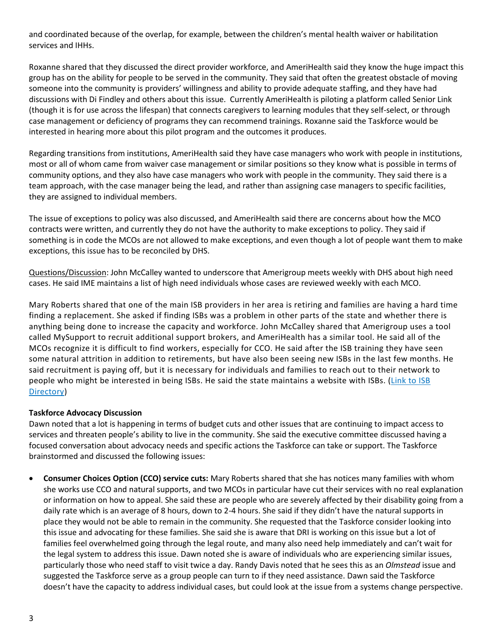and coordinated because of the overlap, for example, between the children's mental health waiver or habilitation services and IHHs.

Roxanne shared that they discussed the direct provider workforce, and AmeriHealth said they know the huge impact this group has on the ability for people to be served in the community. They said that often the greatest obstacle of moving someone into the community is providers' willingness and ability to provide adequate staffing, and they have had discussions with Di Findley and others about this issue. Currently AmeriHealth is piloting a platform called Senior Link (though it is for use across the lifespan) that connects caregivers to learning modules that they self-select, or through case management or deficiency of programs they can recommend trainings. Roxanne said the Taskforce would be interested in hearing more about this pilot program and the outcomes it produces.

Regarding transitions from institutions, AmeriHealth said they have case managers who work with people in institutions, most or all of whom came from waiver case management or similar positions so they know what is possible in terms of community options, and they also have case managers who work with people in the community. They said there is a team approach, with the case manager being the lead, and rather than assigning case managers to specific facilities, they are assigned to individual members.

The issue of exceptions to policy was also discussed, and AmeriHealth said there are concerns about how the MCO contracts were written, and currently they do not have the authority to make exceptions to policy. They said if something is in code the MCOs are not allowed to make exceptions, and even though a lot of people want them to make exceptions, this issue has to be reconciled by DHS.

Questions/Discussion: John McCalley wanted to underscore that Amerigroup meets weekly with DHS about high need cases. He said IME maintains a list of high need individuals whose cases are reviewed weekly with each MCO.

Mary Roberts shared that one of the main ISB providers in her area is retiring and families are having a hard time finding a replacement. She asked if finding ISBs was a problem in other parts of the state and whether there is anything being done to increase the capacity and workforce. John McCalley shared that Amerigroup uses a tool called MySupport to recruit additional support brokers, and AmeriHealth has a similar tool. He said all of the MCOs recognize it is difficult to find workers, especially for CCO. He said after the ISB training they have seen some natural attrition in addition to retirements, but have also been seeing new ISBs in the last few months. He said recruitment is paying off, but it is necessary for individuals and families to reach out to their network to people who might be interested in being ISBs. He said the state maintains a website with ISBs. [\(Link](https://dhs.iowa.gov/sites/default/files/ISB%20By%20County%206.2.16_1.pdf) to ISB [Directory\)](https://dhs.iowa.gov/sites/default/files/ISB%20By%20County%206.2.16_1.pdf)

# **Taskforce Advocacy Discussion**

Dawn noted that a lot is happening in terms of budget cuts and other issues that are continuing to impact access to services and threaten people's ability to live in the community. She said the executive committee discussed having a focused conversation about advocacy needs and specific actions the Taskforce can take or support. The Taskforce brainstormed and discussed the following issues:

 **Consumer Choices Option (CCO) service cuts:** Mary Roberts shared that she has notices many families with whom she works use CCO and natural supports, and two MCOs in particular have cut their services with no real explanation or information on how to appeal. She said these are people who are severely affected by their disability going from a daily rate which is an average of 8 hours, down to 2-4 hours. She said if they didn't have the natural supports in place they would not be able to remain in the community. She requested that the Taskforce consider looking into this issue and advocating for these families. She said she is aware that DRI is working on this issue but a lot of families feel overwhelmed going through the legal route, and many also need help immediately and can't wait for the legal system to address this issue. Dawn noted she is aware of individuals who are experiencing similar issues, particularly those who need staff to visit twice a day. Randy Davis noted that he sees this as an *Olmstead* issue and suggested the Taskforce serve as a group people can turn to if they need assistance. Dawn said the Taskforce doesn't have the capacity to address individual cases, but could look at the issue from a systems change perspective.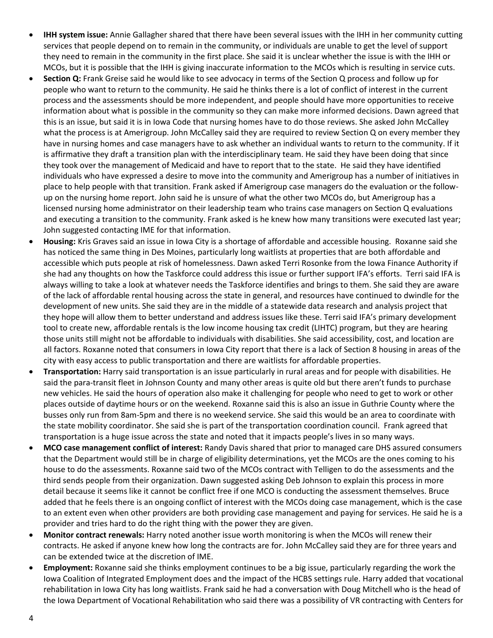- **IHH system issue:** Annie Gallagher shared that there have been several issues with the IHH in her community cutting services that people depend on to remain in the community, or individuals are unable to get the level of support they need to remain in the community in the first place. She said it is unclear whether the issue is with the IHH or MCOs, but it is possible that the IHH is giving inaccurate information to the MCOs which is resulting in service cuts.
- **Section Q:** Frank Greise said he would like to see advocacy in terms of the Section Q process and follow up for people who want to return to the community. He said he thinks there is a lot of conflict of interest in the current process and the assessments should be more independent, and people should have more opportunities to receive information about what is possible in the community so they can make more informed decisions. Dawn agreed that this is an issue, but said it is in Iowa Code that nursing homes have to do those reviews. She asked John McCalley what the process is at Amerigroup. John McCalley said they are required to review Section Q on every member they have in nursing homes and case managers have to ask whether an individual wants to return to the community. If it is affirmative they draft a transition plan with the interdisciplinary team. He said they have been doing that since they took over the management of Medicaid and have to report that to the state. He said they have identified individuals who have expressed a desire to move into the community and Amerigroup has a number of initiatives in place to help people with that transition. Frank asked if Amerigroup case managers do the evaluation or the followup on the nursing home report. John said he is unsure of what the other two MCOs do, but Amerigroup has a licensed nursing home administrator on their leadership team who trains case managers on Section Q evaluations and executing a transition to the community. Frank asked is he knew how many transitions were executed last year; John suggested contacting IME for that information.
- **Housing:** Kris Graves said an issue in Iowa City is a shortage of affordable and accessible housing. Roxanne said she has noticed the same thing in Des Moines, particularly long waitlists at properties that are both affordable and accessible which puts people at risk of homelessness. Dawn asked Terri Rosonke from the Iowa Finance Authority if she had any thoughts on how the Taskforce could address this issue or further support IFA's efforts. Terri said IFA is always willing to take a look at whatever needs the Taskforce identifies and brings to them. She said they are aware of the lack of affordable rental housing across the state in general, and resources have continued to dwindle for the development of new units. She said they are in the middle of a statewide data research and analysis project that they hope will allow them to better understand and address issues like these. Terri said IFA's primary development tool to create new, affordable rentals is the low income housing tax credit (LIHTC) program, but they are hearing those units still might not be affordable to individuals with disabilities. She said accessibility, cost, and location are all factors. Roxanne noted that consumers in Iowa City report that there is a lack of Section 8 housing in areas of the city with easy access to public transportation and there are waitlists for affordable properties.
- **Transportation:** Harry said transportation is an issue particularly in rural areas and for people with disabilities. He said the para-transit fleet in Johnson County and many other areas is quite old but there aren't funds to purchase new vehicles. He said the hours of operation also make it challenging for people who need to get to work or other places outside of daytime hours or on the weekend. Roxanne said this is also an issue in Guthrie County where the busses only run from 8am-5pm and there is no weekend service. She said this would be an area to coordinate with the state mobility coordinator. She said she is part of the transportation coordination council. Frank agreed that transportation is a huge issue across the state and noted that it impacts people's lives in so many ways.
- **MCO case management conflict of interest:** Randy Davis shared that prior to managed care DHS assured consumers that the Department would still be in charge of eligibility determinations, yet the MCOs are the ones coming to his house to do the assessments. Roxanne said two of the MCOs contract with Telligen to do the assessments and the third sends people from their organization. Dawn suggested asking Deb Johnson to explain this process in more detail because it seems like it cannot be conflict free if one MCO is conducting the assessment themselves. Bruce added that he feels there is an ongoing conflict of interest with the MCOs doing case management, which is the case to an extent even when other providers are both providing case management and paying for services. He said he is a provider and tries hard to do the right thing with the power they are given.
- **Monitor contract renewals:** Harry noted another issue worth monitoring is when the MCOs will renew their contracts. He asked if anyone knew how long the contracts are for. John McCalley said they are for three years and can be extended twice at the discretion of IME.
- **Employment:** Roxanne said she thinks employment continues to be a big issue, particularly regarding the work the Iowa Coalition of Integrated Employment does and the impact of the HCBS settings rule. Harry added that vocational rehabilitation in Iowa City has long waitlists. Frank said he had a conversation with Doug Mitchell who is the head of the Iowa Department of Vocational Rehabilitation who said there was a possibility of VR contracting with Centers for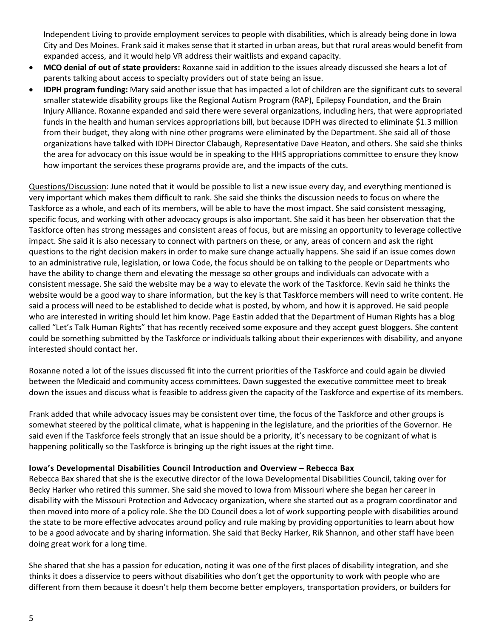Independent Living to provide employment services to people with disabilities, which is already being done in Iowa City and Des Moines. Frank said it makes sense that it started in urban areas, but that rural areas would benefit from expanded access, and it would help VR address their waitlists and expand capacity.

- **MCO denial of out of state providers:** Roxanne said in addition to the issues already discussed she hears a lot of parents talking about access to specialty providers out of state being an issue.
- **IDPH program funding:** Mary said another issue that has impacted a lot of children are the significant cuts to several smaller statewide disability groups like the Regional Autism Program (RAP), Epilepsy Foundation, and the Brain Injury Alliance. Roxanne expanded and said there were several organizations, including hers, that were appropriated funds in the health and human services appropriations bill, but because IDPH was directed to eliminate \$1.3 million from their budget, they along with nine other programs were eliminated by the Department. She said all of those organizations have talked with IDPH Director Clabaugh, Representative Dave Heaton, and others. She said she thinks the area for advocacy on this issue would be in speaking to the HHS appropriations committee to ensure they know how important the services these programs provide are, and the impacts of the cuts.

Questions/Discussion: June noted that it would be possible to list a new issue every day, and everything mentioned is very important which makes them difficult to rank. She said she thinks the discussion needs to focus on where the Taskforce as a whole, and each of its members, will be able to have the most impact. She said consistent messaging, specific focus, and working with other advocacy groups is also important. She said it has been her observation that the Taskforce often has strong messages and consistent areas of focus, but are missing an opportunity to leverage collective impact. She said it is also necessary to connect with partners on these, or any, areas of concern and ask the right questions to the right decision makers in order to make sure change actually happens. She said if an issue comes down to an administrative rule, legislation, or Iowa Code, the focus should be on talking to the people or Departments who have the ability to change them and elevating the message so other groups and individuals can advocate with a consistent message. She said the website may be a way to elevate the work of the Taskforce. Kevin said he thinks the website would be a good way to share information, but the key is that Taskforce members will need to write content. He said a process will need to be established to decide what is posted, by whom, and how it is approved. He said people who are interested in writing should let him know. Page Eastin added that the Department of Human Rights has a blog called "Let's Talk Human Rights" that has recently received some exposure and they accept guest bloggers. She content could be something submitted by the Taskforce or individuals talking about their experiences with disability, and anyone interested should contact her.

Roxanne noted a lot of the issues discussed fit into the current priorities of the Taskforce and could again be divvied between the Medicaid and community access committees. Dawn suggested the executive committee meet to break down the issues and discuss what is feasible to address given the capacity of the Taskforce and expertise of its members.

Frank added that while advocacy issues may be consistent over time, the focus of the Taskforce and other groups is somewhat steered by the political climate, what is happening in the legislature, and the priorities of the Governor. He said even if the Taskforce feels strongly that an issue should be a priority, it's necessary to be cognizant of what is happening politically so the Taskforce is bringing up the right issues at the right time.

# **Iowa's Developmental Disabilities Council Introduction and Overview – Rebecca Bax**

Rebecca Bax shared that she is the executive director of the Iowa Developmental Disabilities Council, taking over for Becky Harker who retired this summer. She said she moved to Iowa from Missouri where she began her career in disability with the Missouri Protection and Advocacy organization, where she started out as a program coordinator and then moved into more of a policy role. She the DD Council does a lot of work supporting people with disabilities around the state to be more effective advocates around policy and rule making by providing opportunities to learn about how to be a good advocate and by sharing information. She said that Becky Harker, Rik Shannon, and other staff have been doing great work for a long time.

She shared that she has a passion for education, noting it was one of the first places of disability integration, and she thinks it does a disservice to peers without disabilities who don't get the opportunity to work with people who are different from them because it doesn't help them become better employers, transportation providers, or builders for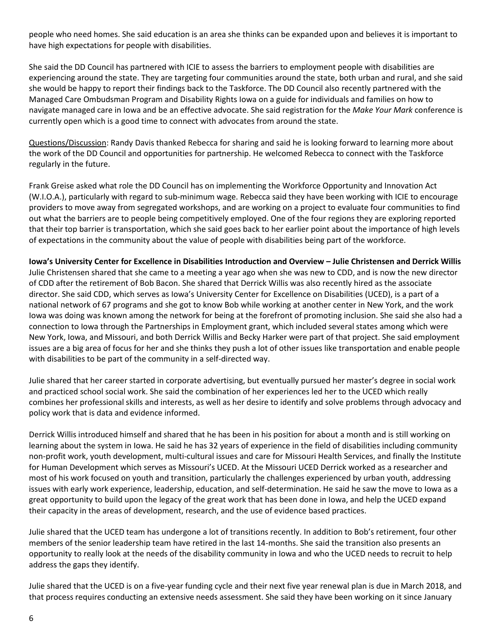people who need homes. She said education is an area she thinks can be expanded upon and believes it is important to have high expectations for people with disabilities.

She said the DD Council has partnered with ICIE to assess the barriers to employment people with disabilities are experiencing around the state. They are targeting four communities around the state, both urban and rural, and she said she would be happy to report their findings back to the Taskforce. The DD Council also recently partnered with the Managed Care Ombudsman Program and Disability Rights Iowa on a guide for individuals and families on how to navigate managed care in Iowa and be an effective advocate. She said registration for the *Make Your Mark* conference is currently open which is a good time to connect with advocates from around the state.

Questions/Discussion: Randy Davis thanked Rebecca for sharing and said he is looking forward to learning more about the work of the DD Council and opportunities for partnership. He welcomed Rebecca to connect with the Taskforce regularly in the future.

Frank Greise asked what role the DD Council has on implementing the Workforce Opportunity and Innovation Act (W.I.O.A.), particularly with regard to sub-minimum wage. Rebecca said they have been working with ICIE to encourage providers to move away from segregated workshops, and are working on a project to evaluate four communities to find out what the barriers are to people being competitively employed. One of the four regions they are exploring reported that their top barrier is transportation, which she said goes back to her earlier point about the importance of high levels of expectations in the community about the value of people with disabilities being part of the workforce.

Iowa's University Center for Excellence in Disabilities Introduction and Overview - Julie Christensen and Derrick Willis Julie Christensen shared that she came to a meeting a year ago when she was new to CDD, and is now the new director of CDD after the retirement of Bob Bacon. She shared that Derrick Willis was also recently hired as the associate director. She said CDD, which serves as Iowa's University Center for Excellence on Disabilities (UCED), is a part of a national network of 67 programs and she got to know Bob while working at another center in New York, and the work Iowa was doing was known among the network for being at the forefront of promoting inclusion. She said she also had a connection to Iowa through the Partnerships in Employment grant, which included several states among which were New York, Iowa, and Missouri, and both Derrick Willis and Becky Harker were part of that project. She said employment issues are a big area of focus for her and she thinks they push a lot of other issues like transportation and enable people with disabilities to be part of the community in a self-directed way.

Julie shared that her career started in corporate advertising, but eventually pursued her master's degree in social work and practiced school social work. She said the combination of her experiences led her to the UCED which really combines her professional skills and interests, as well as her desire to identify and solve problems through advocacy and policy work that is data and evidence informed.

Derrick Willis introduced himself and shared that he has been in his position for about a month and is still working on learning about the system in Iowa. He said he has 32 years of experience in the field of disabilities including community non-profit work, youth development, multi-cultural issues and care for Missouri Health Services, and finally the Institute for Human Development which serves as Missouri's UCED. At the Missouri UCED Derrick worked as a researcher and most of his work focused on youth and transition, particularly the challenges experienced by urban youth, addressing issues with early work experience, leadership, education, and self-determination. He said he saw the move to Iowa as a great opportunity to build upon the legacy of the great work that has been done in Iowa, and help the UCED expand their capacity in the areas of development, research, and the use of evidence based practices.

Julie shared that the UCED team has undergone a lot of transitions recently. In addition to Bob's retirement, four other members of the senior leadership team have retired in the last 14-months. She said the transition also presents an opportunity to really look at the needs of the disability community in Iowa and who the UCED needs to recruit to help address the gaps they identify.

Julie shared that the UCED is on a five-year funding cycle and their next five year renewal plan is due in March 2018, and that process requires conducting an extensive needs assessment. She said they have been working on it since January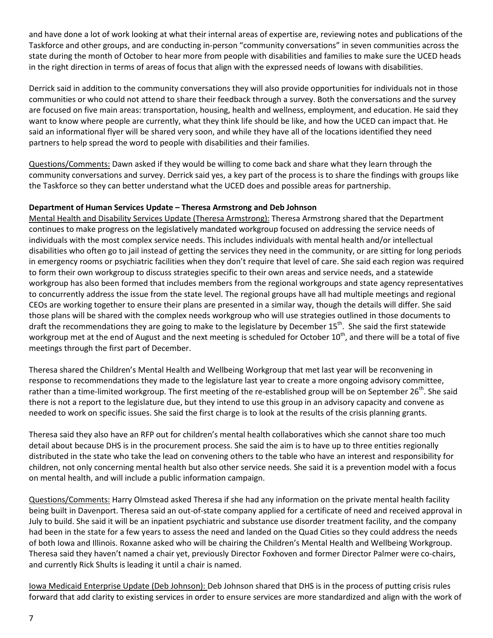and have done a lot of work looking at what their internal areas of expertise are, reviewing notes and publications of the Taskforce and other groups, and are conducting in-person "community conversations" in seven communities across the state during the month of October to hear more from people with disabilities and families to make sure the UCED heads in the right direction in terms of areas of focus that align with the expressed needs of Iowans with disabilities.

Derrick said in addition to the community conversations they will also provide opportunities for individuals not in those communities or who could not attend to share their feedback through a survey. Both the conversations and the survey are focused on five main areas: transportation, housing, health and wellness, employment, and education. He said they want to know where people are currently, what they think life should be like, and how the UCED can impact that. He said an informational flyer will be shared very soon, and while they have all of the locations identified they need partners to help spread the word to people with disabilities and their families.

Questions/Comments: Dawn asked if they would be willing to come back and share what they learn through the community conversations and survey. Derrick said yes, a key part of the process is to share the findings with groups like the Taskforce so they can better understand what the UCED does and possible areas for partnership.

# **Department of Human Services Update – Theresa Armstrong and Deb Johnson**

Mental Health and Disability Services Update (Theresa Armstrong): Theresa Armstrong shared that the Department continues to make progress on the legislatively mandated workgroup focused on addressing the service needs of individuals with the most complex service needs. This includes individuals with mental health and/or intellectual disabilities who often go to jail instead of getting the services they need in the community, or are sitting for long periods in emergency rooms or psychiatric facilities when they don't require that level of care. She said each region was required to form their own workgroup to discuss strategies specific to their own areas and service needs, and a statewide workgroup has also been formed that includes members from the regional workgroups and state agency representatives to concurrently address the issue from the state level. The regional groups have all had multiple meetings and regional CEOs are working together to ensure their plans are presented in a similar way, though the details will differ. She said those plans will be shared with the complex needs workgroup who will use strategies outlined in those documents to draft the recommendations they are going to make to the legislature by December 15<sup>th</sup>. She said the first statewide workgroup met at the end of August and the next meeting is scheduled for October  $10^{th}$ , and there will be a total of five meetings through the first part of December.

Theresa shared the Children's Mental Health and Wellbeing Workgroup that met last year will be reconvening in response to recommendations they made to the legislature last year to create a more ongoing advisory committee, rather than a time-limited workgroup. The first meeting of the re-established group will be on September 26<sup>th</sup>. She said there is not a report to the legislature due, but they intend to use this group in an advisory capacity and convene as needed to work on specific issues. She said the first charge is to look at the results of the crisis planning grants.

Theresa said they also have an RFP out for children's mental health collaboratives which she cannot share too much detail about because DHS is in the procurement process. She said the aim is to have up to three entities regionally distributed in the state who take the lead on convening others to the table who have an interest and responsibility for children, not only concerning mental health but also other service needs. She said it is a prevention model with a focus on mental health, and will include a public information campaign.

Questions/Comments: Harry Olmstead asked Theresa if she had any information on the private mental health facility being built in Davenport. Theresa said an out-of-state company applied for a certificate of need and received approval in July to build. She said it will be an inpatient psychiatric and substance use disorder treatment facility, and the company had been in the state for a few years to assess the need and landed on the Quad Cities so they could address the needs of both Iowa and Illinois. Roxanne asked who will be chairing the Children's Mental Health and Wellbeing Workgroup. Theresa said they haven't named a chair yet, previously Director Foxhoven and former Director Palmer were co-chairs, and currently Rick Shults is leading it until a chair is named.

Iowa Medicaid Enterprise Update (Deb Johnson): Deb Johnson shared that DHS is in the process of putting crisis rules forward that add clarity to existing services in order to ensure services are more standardized and align with the work of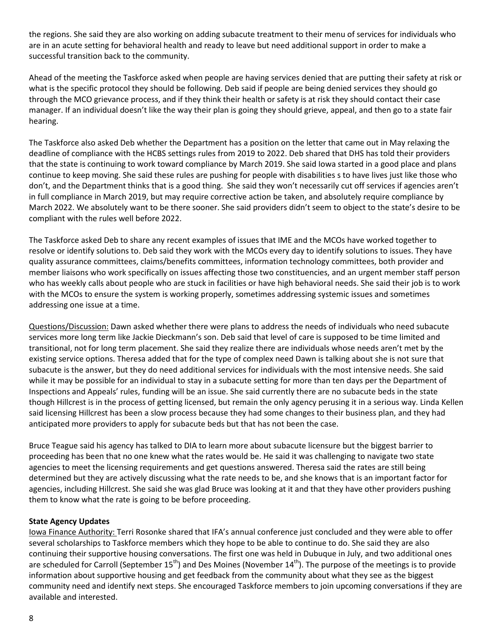the regions. She said they are also working on adding subacute treatment to their menu of services for individuals who are in an acute setting for behavioral health and ready to leave but need additional support in order to make a successful transition back to the community.

Ahead of the meeting the Taskforce asked when people are having services denied that are putting their safety at risk or what is the specific protocol they should be following. Deb said if people are being denied services they should go through the MCO grievance process, and if they think their health or safety is at risk they should contact their case manager. If an individual doesn't like the way their plan is going they should grieve, appeal, and then go to a state fair hearing.

The Taskforce also asked Deb whether the Department has a position on the letter that came out in May relaxing the deadline of compliance with the HCBS settings rules from 2019 to 2022. Deb shared that DHS has told their providers that the state is continuing to work toward compliance by March 2019. She said Iowa started in a good place and plans continue to keep moving. She said these rules are pushing for people with disabilities s to have lives just like those who don't, and the Department thinks that is a good thing. She said they won't necessarily cut off services if agencies aren't in full compliance in March 2019, but may require corrective action be taken, and absolutely require compliance by March 2022. We absolutely want to be there sooner. She said providers didn't seem to object to the state's desire to be compliant with the rules well before 2022.

The Taskforce asked Deb to share any recent examples of issues that IME and the MCOs have worked together to resolve or identify solutions to. Deb said they work with the MCOs every day to identify solutions to issues. They have quality assurance committees, claims/benefits committees, information technology committees, both provider and member liaisons who work specifically on issues affecting those two constituencies, and an urgent member staff person who has weekly calls about people who are stuck in facilities or have high behavioral needs. She said their job is to work with the MCOs to ensure the system is working properly, sometimes addressing systemic issues and sometimes addressing one issue at a time.

Questions/Discussion: Dawn asked whether there were plans to address the needs of individuals who need subacute services more long term like Jackie Dieckmann's son. Deb said that level of care is supposed to be time limited and transitional, not for long term placement. She said they realize there are individuals whose needs aren't met by the existing service options. Theresa added that for the type of complex need Dawn is talking about she is not sure that subacute is the answer, but they do need additional services for individuals with the most intensive needs. She said while it may be possible for an individual to stay in a subacute setting for more than ten days per the Department of Inspections and Appeals' rules, funding will be an issue. She said currently there are no subacute beds in the state though Hillcrest is in the process of getting licensed, but remain the only agency perusing it in a serious way. Linda Kellen said licensing Hillcrest has been a slow process because they had some changes to their business plan, and they had anticipated more providers to apply for subacute beds but that has not been the case.

Bruce Teague said his agency has talked to DIA to learn more about subacute licensure but the biggest barrier to proceeding has been that no one knew what the rates would be. He said it was challenging to navigate two state agencies to meet the licensing requirements and get questions answered. Theresa said the rates are still being determined but they are actively discussing what the rate needs to be, and she knows that is an important factor for agencies, including Hillcrest. She said she was glad Bruce was looking at it and that they have other providers pushing them to know what the rate is going to be before proceeding.

# **State Agency Updates**

Iowa Finance Authority: Terri Rosonke shared that IFA's annual conference just concluded and they were able to offer several scholarships to Taskforce members which they hope to be able to continue to do. She said they are also continuing their supportive housing conversations. The first one was held in Dubuque in July, and two additional ones are scheduled for Carroll (September  $15<sup>th</sup>$ ) and Des Moines (November  $14<sup>th</sup>$ ). The purpose of the meetings is to provide information about supportive housing and get feedback from the community about what they see as the biggest community need and identify next steps. She encouraged Taskforce members to join upcoming conversations if they are available and interested.